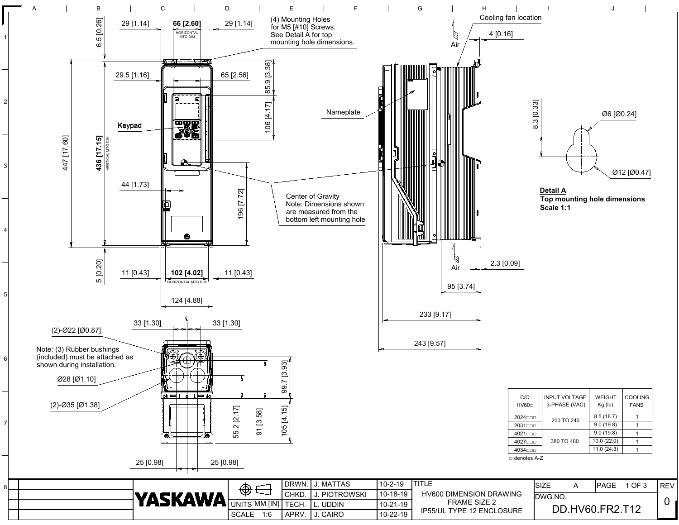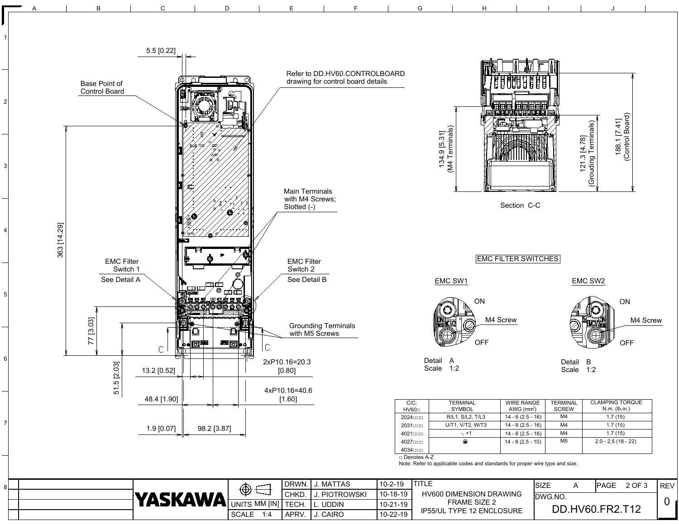

|                              |       | DRVVN. I J. MATTAS | 10-2-19        |                                 |            |
|------------------------------|-------|--------------------|----------------|---------------------------------|------------|
|                              | CHKD. | I J. PIOTROWSKI    | 10-18-19       | HV600 DIMENSION DRAWING         | <b>DWC</b> |
| S MM [IN]   TECH.   L. UDDIN |       |                    | $10 - 21 - 19$ | FRAME SIZE 2                    |            |
|                              |       |                    |                | <b>IP55/ULTYPE 12 FNCLOSURE</b> |            |